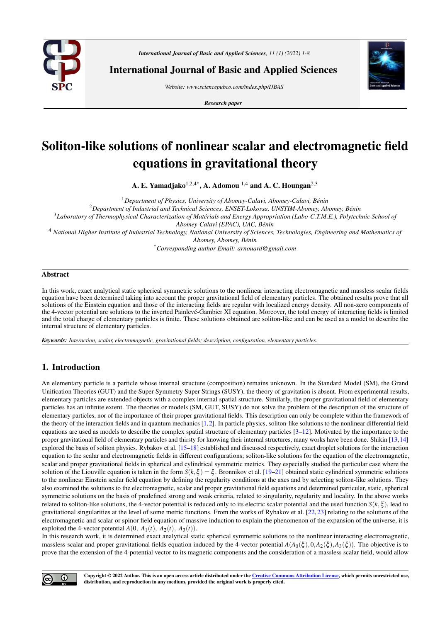

*International Journal of Basic and Applied Sciences, 11 (1) (2022) 1-8*

International Journal of Basic and Applied Sciences

*Website: www.sciencepubco.com/index.php/IJBAS*

*Research paper*



# Soliton-like solutions of nonlinear scalar and electromagnetic field equations in gravitational theory

A. E. Yamadjako<sup>1,2,4\*</sup>, A. Adomou<sup>1,4</sup> and A. C. Houngan<sup>2,3</sup>

<sup>1</sup>*Department of Physics, University of Abomey-Calavi, Abomey-Calavi, Benin ´* <sup>2</sup>*Department of Industrial and Technical Sciences, ENSET-Lokossa, UNSTIM-Abomey, Abomey, Benin ´* <sup>3</sup>*Laboratory of Thermophysical Characterization of Materials and Energy Appropriation (Labo-C.T.M.E.), Polytechnic School of ´ Abomey-Calavi (EPAC), UAC, Benin ´* <sup>4</sup> *National Higher Institute of Industrial Technology, National University of Sciences, Technologies, Engineering and Mathematics of Abomey, Abomey, Benin ´* \**Corresponding author Email: arnouard@gmail.com*

### Abstract

In this work, exact analytical static spherical symmetric solutions to the nonlinear interacting electromagnetic and massless scalar fields equation have been determined taking into account the proper gravitational field of elementary particles. The obtained results prove that all solutions of the Einstein equation and those of the interacting fields are regular with localized energy density. All non-zero components of the 4-vector potential are solutions to the inverted Painleve-Gambier XI equation. Moreover, the total energy of interacting fields is limited ´ and the total charge of elementary particles is finite. These solutions obtained are soliton-like and can be used as a model to describe the internal structure of elementary particles.

*Keywords: Interaction, scalar, electromagnetic, gravitational fields; description, configuration, elementary particles.*

## 1. Introduction

 $_{\odot}$ 

An elementary particle is a particle whose internal structure (composition) remains unknown. In the Standard Model (SM), the Grand Unification Theories (GUT) and the Super Symmetry Super Strings (SUSY), the theory of gravitation is absent. From experimental results, elementary particles are extended objects with a complex internal spatial structure. Similarly, the proper gravitational field of elementary particles has an infinite extent. The theories or models (SM, GUT, SUSY) do not solve the problem of the description of the structure of elementary particles, nor of the importance of their proper gravitational fields. This description can only be complete within the framework of the theory of the interaction fields and in quantum mechanics [\[1,](#page-6-0)[2\]](#page-6-1). In particle physics, soliton-like solutions to the nonlinear differential field equations are used as models to describe the complex spatial structure of elementary particles  $[3-12]$  $[3-12]$ . Motivated by the importance to the proper gravitational field of elementary particles and thirsty for knowing their internal structures, many works have been done. Shikin [\[13,](#page-7-1)[14\]](#page-7-2) explored the basis of soliton physics. Rybakov et al. [\[15](#page-7-3)[–18\]](#page-7-4) established and discussed respectively, exact droplet solutions for the interaction equation to the scalar and electromagnetic fields in different configurations; soliton-like solutions for the equation of the electromagnetic, scalar and proper gravitational fields in spherical and cylindrical symmetric metrics. They especially studied the particular case where the solution of the Liouville equation is taken in the form  $S(k,\xi) = \xi$ . Bronnikov et al. [\[19–](#page-7-5)[21\]](#page-7-6) obtained static cylindrical symmetric solutions to the nonlinear Einstein scalar field equation by defining the regularity conditions at the axes and by selecting soliton-like solutions. They also examined the solutions to the electromagnetic, scalar and proper gravitational field equations and determined particular, static, spherical symmetric solutions on the basis of predefined strong and weak criteria, related to singularity, regularity and locality. In the above works related to soliton-like solutions, the 4-vector potential is reduced only to its electric scalar potential and the used function *S*(*k*,ξ ), lead to gravitational singularities at the level of some metric functions. From the works of Rybakov et al. [\[22,](#page-7-7) [23\]](#page-7-8) relating to the solutions of the electromagnetic and scalar or spinor field equation of massive induction to explain the phenomenon of the expansion of the universe, it is exploited the 4-vector potential  $A(0, A_1(t), A_2(t), A_3(t))$ .

In this research work, it is determined exact analytical static spherical symmetric solutions to the nonlinear interacting electromagnetic, massless scalar and proper gravitational fields equation induced by the 4-vector potential  $A(A_0(\xi), 0, A_2(\xi), A_3(\xi))$ . The objective is to prove that the extension of the 4-potential vector to its magnetic components and the consideration of a massless scalar field, would allow

> Copyright © 2022 Author. This is an open access article distributed under the Creative Commons Attribution License, which permits unrestricted use, distribution, and reproduction in any medium, provided the original work is properly cited.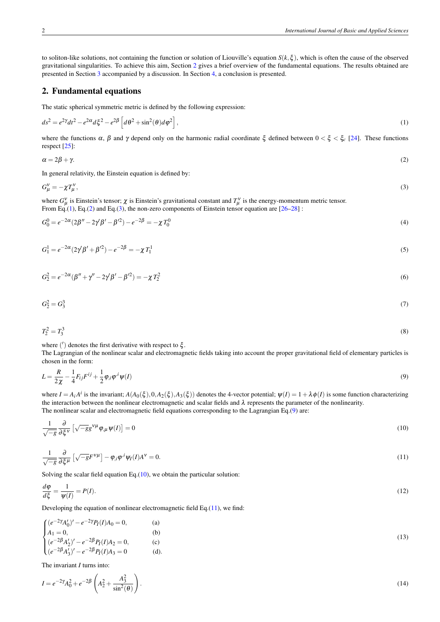to soliton-like solutions, not containing the function or solution of Liouville's equation  $S(k,\xi)$ , which is often the cause of the observed gravitational singularities. To achieve this aim, Section [2](#page-1-0) gives a brief overview of the fundamental equations. The results obtained are presented in Section [3](#page-4-0) accompanied by a discussion. In Section [4,](#page-6-3) a conclusion is presented.

### <span id="page-1-0"></span>2. Fundamental equations

<span id="page-1-1"></span>The static spherical symmetric metric is defined by the following expression:

$$
ds^{2} = e^{2\gamma}dt^{2} - e^{2\alpha}d\xi^{2} - e^{2\beta}\left[d\theta^{2} + \sin^{2}(\theta)d\varphi^{2}\right],
$$
\n(1)

<span id="page-1-2"></span>where the functions  $\alpha$ ,  $\beta$  and  $\gamma$  depend only on the harmonic radial coordinate  $\xi$  defined between  $0 < \xi < \xi_c$  [\[24\]](#page-7-9). These functions respect [\[25\]](#page-7-10):

<span id="page-1-3"></span>
$$
\alpha = 2\beta + \gamma. \tag{2}
$$

In general relativity, the Einstein equation is defined by:

$$
G_{\mu}^{\mathbf{v}} = -\chi T_{\mu}^{\mathbf{v}},\tag{3}
$$

<span id="page-1-9"></span>where  $G^{\nu}_{\mu}$  is Einstein's tensor;  $\chi$  is Einstein's gravitational constant and  $T^{\nu}_{\mu}$  is the energy-momentum metric tensor. From Eq.[\(1\)](#page-1-1), Eq.[\(2\)](#page-1-2) and Eq.[\(3\)](#page-1-3), the non-zero components of Einstein tensor equation are  $[26-28]$  $[26-28]$ :

<span id="page-1-7"></span>
$$
G_0^0 = e^{-2\alpha} (2\beta'' - 2\gamma'\beta' - \beta'^2) - e^{-2\beta} = -\chi T_0^0
$$
\n(4)

<span id="page-1-8"></span>
$$
G_1^1 = e^{-2\alpha} (2\gamma' \beta' + \beta'^2) - e^{-2\beta} = -\chi T_1^1 \tag{5}
$$

$$
G_2^2 = e^{-2\alpha}(\beta'' + \gamma'' - 2\gamma'\beta' - \beta'^2) = -\chi T_2^2
$$
\n(6)

$$
G_2^2 = G_3^3 \tag{7}
$$

$$
T_2^2 = T_3^3 \tag{8}
$$

where ( ′ ) denotes the first derivative with respect to ξ .

<span id="page-1-4"></span>The Lagrangian of the nonlinear scalar and electromagnetic fields taking into account the proper gravitational field of elementary particles is chosen in the form:

$$
L = \frac{R}{2\chi} - \frac{1}{4}F_{ij}F^{ij} + \frac{1}{2}\varphi_{,i}\varphi^{,i}\psi(I) \tag{9}
$$

where  $I = A_i A^i$  is the invariant;  $A(A_0(\xi), 0, A_2(\xi), A_3(\xi))$  denotes the 4-vector potential;  $\psi(I) = 1 + \lambda \phi(I)$  is some function characterizing the interaction between the nonlinear electromagnetic and scalar fields and  $\lambda$  represents the parameter of the nonlinearity. The nonlinear scalar and electromagnetic field equations corresponding to the Lagrangian Eq.[\(9\)](#page-1-4) are:

<span id="page-1-5"></span>
$$
\frac{1}{\sqrt{-g}}\frac{\partial}{\partial \xi^{\mathbf{v}}} \left[ \sqrt{-g}g^{\mathbf{v}\mu}\varphi_{,\mu}\psi(I) \right] = 0 \tag{10}
$$

<span id="page-1-6"></span>
$$
\frac{1}{\sqrt{-g}}\frac{\partial}{\partial \xi^{\mu}}\left[\sqrt{-g}F^{\nu\mu}\right]-\varphi_{,i}\varphi^{,i}\psi_{I}(I)A^{\nu}=0.\tag{11}
$$

Solving the scalar field equation Eq. $(10)$ , we obtain the particular solution:

$$
\frac{d\varphi}{d\xi} = \frac{1}{\psi(I)} = P(I). \tag{12}
$$

Developing the equation of nonlinear electromagnetic field Eq.[\(11\)](#page-1-6), we find:

<span id="page-1-10"></span>
$$
\begin{cases}\n(e^{-2\gamma}A'_0)' - e^{-2\gamma}P_I(I)A_0 = 0, & \text{(a)}\\
A_1 = 0, & \text{(b)}\\
(e^{-2\beta}A'_2)' - e^{-2\beta}P_I(I)A_2 = 0, & \text{(c)}\\
(e^{-2\beta}A'_3)' - e^{-2\beta}P_I(I)A_3 = 0 & \text{(d)}.\n\end{cases}
$$
\n(13)

<span id="page-1-11"></span>The invariant *I* turns into:

$$
I = e^{-2\gamma} A_0^2 + e^{-2\beta} \left( A_2^2 + \frac{A_3^2}{\sin^2(\theta)} \right). \tag{14}
$$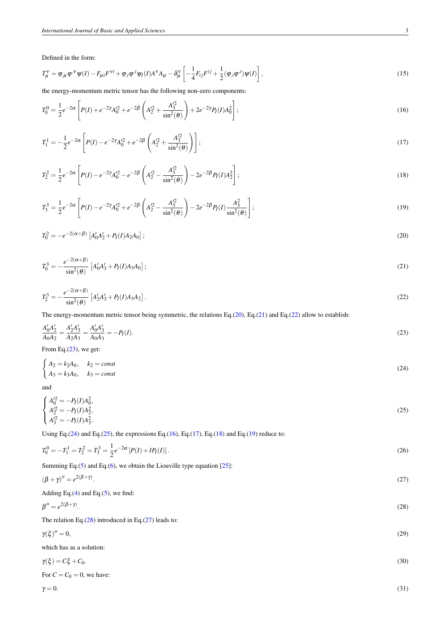Defined in the form:

<span id="page-2-6"></span>
$$
T_{\mu}^{\nu} = \varphi_{,\mu} \varphi^{\nu} \psi(I) - F_{\mu i} F^{\nu i} + \varphi_{,i} \varphi^{,i} \psi_I(I) A^{\nu} A_{\mu} - \delta_{\mu}^{\nu} \left[ -\frac{1}{4} F_{ij} F^{ij} + \frac{1}{2} (\varphi_{,i} \varphi^{,i}) \psi(I) \right],
$$
\n(15)

the energy-momentum metric tensor has the following non-zero components:

$$
T_0^0 = \frac{1}{2} e^{-2\alpha} \left[ P(I) + e^{-2\gamma} A_0'^2 + e^{-2\beta} \left( A_2'^2 + \frac{A_3'^2}{\sin^2(\theta)} \right) + 2e^{-2\gamma} P_I(I) A_0^2 \right];
$$
\n(16)

<span id="page-2-7"></span>
$$
T_1^1 = -\frac{1}{2}e^{-2\alpha} \left[ P(I) - e^{-2\gamma}A_0^2 + e^{-2\beta} \left( A_2^2 + \frac{A_3^2}{\sin^2(\theta)} \right) \right];\tag{17}
$$

<span id="page-2-8"></span>
$$
T_2^2 = \frac{1}{2}e^{-2\alpha} \left[ P(I) - e^{-2\gamma}A_0'^2 - e^{-2\beta} \left( A_2'^2 - \frac{A_3'^2}{\sin^2(\theta)} \right) - 2e^{-2\beta} P_I(I)A_2^2 \right];
$$
\n(18)

<span id="page-2-9"></span>
$$
T_3^3 = \frac{1}{2}e^{-2\alpha} \left[ P(I) - e^{-2\gamma}A_0'^2 + e^{-2\beta} \left( A_2'^2 - \frac{A_3'^2}{\sin^2(\theta)} \right) - 2e^{-2\beta} P_I(I) \frac{A_3^2}{\sin^2(\theta)} \right];
$$
\n(19)

<span id="page-2-1"></span><span id="page-2-0"></span>
$$
T_0^2 = -e^{-2(\alpha+\beta)} \left[ A_0' A_2' + P_I(I) A_2 A_0 \right];\tag{20}
$$

$$
T_0^3 = -\frac{e^{-2(\alpha+\beta)}}{\sin^2(\theta)} \left[ A_0' A_3' + P_I(I) A_3 A_0 \right];\tag{21}
$$

<span id="page-2-3"></span><span id="page-2-2"></span>
$$
T_2^3 = -\frac{e^{-2(\alpha+\beta)}}{\sin^2(\theta)} \left[ A_2' A_3' + P_I(I) A_3 A_2 \right].
$$
\n(22)

The energy-momentum metric tensor being symmetric, the relations Eq.[\(20\)](#page-2-0), Eq.[\(21\)](#page-2-1) and Eq.[\(22\)](#page-2-2) allow to establish:

$$
\frac{A'_0 A'_2}{A_0 A_2} = \frac{A'_2 A'_3}{A_2 A_3} = \frac{A'_0 A'_3}{A_0 A_3} = -P_I(I). \tag{23}
$$

<span id="page-2-4"></span>From Eq.[\(23\)](#page-2-3), we get:

$$
\begin{cases}\nA_2 = k_2 A_0, & k_2 = const \\
A_3 = k_3 A_0, & k_3 = const\n\end{cases}
$$
\n(24)

<span id="page-2-5"></span>and

$$
\begin{cases}\nA_0^{\prime 2} = -P_I(I)A_0^2, \\
A_2^{\prime 2} = -P_I(I)A_2^2, \\
A_3^{\prime 2} = -P_I(I)A_3^2.\n\end{cases}
$$
\n(25)

Using Eq.[\(24\)](#page-2-4) and Eq.[\(25\)](#page-2-5), the expressions Eq.[\(16\)](#page-2-6), Eq.[\(17\)](#page-2-7), Eq.[\(18\)](#page-2-8) and Eq.[\(19\)](#page-2-9) reduce to:

<span id="page-2-13"></span>
$$
T_0^0 = -T_1^1 = T_2^2 = T_3^3 = \frac{1}{2}e^{-2\alpha}[P(I) + IP_I(I)].
$$
\n(26)

<span id="page-2-11"></span>Summing Eq.[\(5\)](#page-1-7) and Eq.[\(6\)](#page-1-8), we obtain the Liouville type equation [\[25\]](#page-7-10):

$$
(\beta + \gamma)'' = e^{2(\beta + \gamma)}.
$$
\n<sup>(27)</sup>

<span id="page-2-10"></span>Adding Eq. $(4)$  and Eq. $(5)$ , we find:

$$
\beta'' = e^{2(\beta + \gamma)}.\tag{28}
$$

The relation Eq.[\(28\)](#page-2-10) introduced in Eq.[\(27\)](#page-2-11) leads to:

$$
\gamma(\xi)'' = 0,\tag{29}
$$

which has as a solution:

$$
\gamma(\xi) = C\xi + C_0. \tag{30}
$$
  
For  $C = C_0 = 0$ , we have:

<span id="page-2-12"></span>
$$
\mathcal{L}^{\mathcal{L}}(\mathcal{L}^{\mathcal{L}})
$$

 $\gamma = 0.$  (31)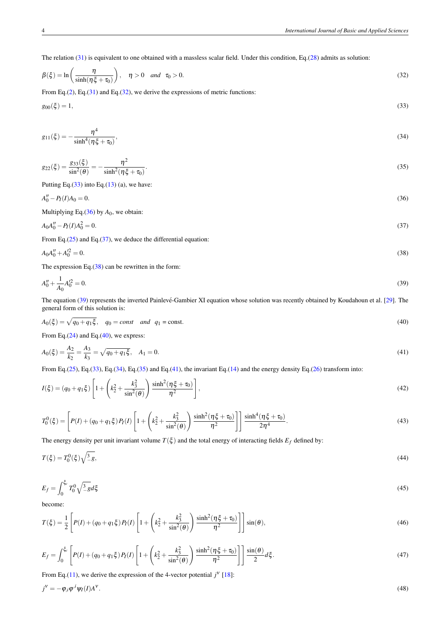The relation [\(31\)](#page-2-12) is equivalent to one obtained with a massless scalar field. Under this condition, Eq.[\(28\)](#page-2-10) admits as solution:

<span id="page-3-1"></span><span id="page-3-0"></span>
$$
\beta(\xi) = \ln\left(\frac{\eta}{\sinh(\eta\xi + \tau_0)}\right), \quad \eta > 0 \quad and \quad \tau_0 > 0.
$$
\n(32)

From Eq.[\(2\)](#page-1-2), Eq.[\(31\)](#page-2-12) and Eq.[\(32\)](#page-3-0), we derive the expressions of metric functions:

<span id="page-3-7"></span>
$$
g_{00}(\xi) = 1,\tag{33}
$$

$$
g_{11}(\xi) = -\frac{\eta^4}{\sinh^4(\eta\xi + \tau_0)},\tag{34}
$$

<span id="page-3-8"></span>
$$
g_{22}(\xi) = \frac{g_{33}(\xi)}{\sin^2(\theta)} = -\frac{\eta^2}{\sinh^2(\eta\xi + \tau_0)}.
$$
\n(35)

<span id="page-3-2"></span>Putting Eq. $(33)$  into Eq. $(13)$  (a), we have:

$$
A_0'' - P_I(I)A_0 = 0. \tag{36}
$$

<span id="page-3-3"></span>Multiplying Eq.[\(36\)](#page-3-2) by  $A_0$ , we obtain:

<span id="page-3-4"></span>
$$
A_0 A_0'' - P_I(I) A_0^2 = 0. \tag{37}
$$

From Eq. $(25)$  and Eq. $(37)$ , we deduce the differential equation:

<span id="page-3-5"></span>
$$
A_0 A_0'' + A_0'^2 = 0. \tag{38}
$$

The expression Eq.[\(38\)](#page-3-4) can be rewritten in the form:

$$
A_0'' + \frac{1}{A_0} A_0'^2 = 0. \tag{39}
$$

<span id="page-3-6"></span>The equation [\(39\)](#page-3-5) represents the inverted Painlevé-Gambier XI equation whose solution was recently obtained by Koudahoun et al. [[29\]](#page-7-13). The general form of this solution is:

$$
A_0(\xi) = \sqrt{q_0 + q_1 \xi}, \quad q_0 = const \quad and \quad q_1 = const.
$$
\n
$$
(40)
$$

<span id="page-3-9"></span>From Eq. $(24)$  and Eq. $(40)$ , we express:

$$
A_0(\xi) = \frac{A_2}{k_2} = \frac{A_3}{k_3} = \sqrt{q_0 + q_1 \xi}, \quad A_1 = 0.
$$
\n(41)

From Eq.[\(25\)](#page-2-5), Eq.[\(33\)](#page-3-1), Eq.[\(34\)](#page-3-7), Eq.[\(35\)](#page-3-8) and Eq.[\(41\)](#page-3-9), the invariant Eq.[\(14\)](#page-1-11) and the energy density Eq.[\(26\)](#page-2-13) transform into:

<span id="page-3-11"></span>
$$
I(\xi) = (q_0 + q_1 \xi) \left[ 1 + \left( k_2^2 + \frac{k_3^2}{\sin^2(\theta)} \right) \frac{\sinh^2(\eta \xi + \tau_0)}{\eta^2} \right],
$$
\n(42)

$$
T_0^0(\xi) = \left[ P(I) + (q_0 + q_1 \xi) P_I(I) \left[ 1 + \left( k_2^2 + \frac{k_3^2}{\sin^2(\theta)} \right) \frac{\sinh^2(\eta \xi + \tau_0)}{\eta^2} \right] \right] \frac{\sinh^4(\eta \xi + \tau_0)}{2\eta^4}.
$$
 (43)

The energy density per unit invariant volume  $T(\xi)$  and the total energy of interacting fields  $E_f$  defined by:

$$
T(\xi) = T_0^0(\xi)\sqrt{\frac{3}{2}}g,\tag{44}
$$

$$
E_f = \int_0^{\xi_c} T_0^0 \sqrt{\frac{3}{-g}} d\xi \tag{45}
$$

<span id="page-3-12"></span>become:

$$
T(\xi) = \frac{1}{2} \left[ P(I) + (q_0 + q_1 \xi) P_I(I) \left[ 1 + \left( k_2^2 + \frac{k_3^2}{\sin^2(\theta)} \right) \frac{\sinh^2(\eta \xi + \tau_0)}{\eta^2} \right] \right] \sin(\theta),\tag{46}
$$

<span id="page-3-13"></span>
$$
E_f = \int_0^{\xi_c} \left[ P(I) + (q_0 + q_1 \xi) P_I(I) \left[ 1 + \left( k_2^2 + \frac{k_3^2}{\sin^2(\theta)} \right) \frac{\sinh^2(\eta \xi + \tau_0)}{\eta^2} \right] \right] \frac{\sin(\theta)}{2} d\xi. \tag{47}
$$

<span id="page-3-10"></span>From Eq.[\(11\)](#page-1-6), we derive the expression of the 4-vector potential  $j^{\mathbf{v}}$  [\[18\]](#page-7-4):

$$
j^{\mathcal{V}} = -\varphi_{,i}\varphi^{,i}\psi_I(I)A^{\mathcal{V}}.\tag{48}
$$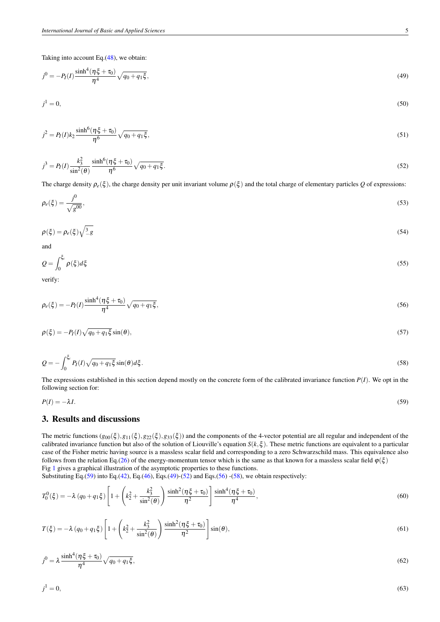<span id="page-4-2"></span>Taking into account Eq.[\(48\)](#page-3-10), we obtain:

$$
j^{0} = -P_{I}(I) \frac{\sinh^{4}(\eta \xi + \tau_{0})}{\eta^{4}} \sqrt{q_{0} + q_{1} \xi},
$$
\n(49)

$$
j^1 = 0,\tag{50}
$$

$$
j^2 = P_I(I)k_2 \frac{\sinh^6(\eta \xi + \tau_0)}{\eta^6} \sqrt{q_0 + q_1 \xi},\tag{51}
$$

<span id="page-4-3"></span>
$$
j^3 = P_I(I) \frac{k_3^2}{\sin^2(\theta)} \frac{\sinh^6(\eta \xi + \tau_0)}{\eta^6} \sqrt{q_0 + q_1 \xi}.
$$
 (52)

The charge density  $\rho_e(\xi)$ , the charge density per unit invariant volume  $\rho(\xi)$  and the total charge of elementary particles *Q* of expressions:

$$
\rho_e(\xi) = \frac{j^0}{\sqrt{g^{00}}},\tag{53}
$$

$$
\rho(\xi) = \rho_e(\xi)\sqrt{\frac{3}{2}g} \tag{54}
$$

and

$$
Q = \int_0^{\xi_c} \rho(\xi) d\xi \tag{55}
$$

<span id="page-4-4"></span>verify:

$$
\rho_e(\xi) = -P_I(I) \frac{\sinh^4(\eta \xi + \tau_0)}{\eta^4} \sqrt{q_0 + q_1 \xi},\tag{56}
$$

<span id="page-4-5"></span>
$$
\rho(\xi) = -P_I(I)\sqrt{q_0 + q_1\xi}\sin(\theta),\tag{57}
$$

$$
Q = -\int_0^{\xi_c} P_I(I)\sqrt{q_0 + q_1\xi} \sin(\theta) d\xi. \tag{58}
$$

<span id="page-4-1"></span>The expressions established in this section depend mostly on the concrete form of the calibrated invariance function  $P(I)$ . We opt in the following section for:

$$
P(I) = -\lambda I. \tag{59}
$$

## <span id="page-4-0"></span>3. Results and discussions

The metric functions  $(g_{00}(\xi), g_{11}(\xi), g_{22}(\xi), g_{33}(\xi))$  and the components of the 4-vector potential are all regular and independent of the calibrated invariance function but also of the solution of Liouville's equation *S*( $k, \xi$ ). These metric functions are equivalent to a particular case of the Fisher metric having source is a massless scalar field and corresponding to a zero Schwarzschild mass. This equivalence also follows from the relation Eq.[\(26\)](#page-2-13) of the energy-momentum tensor which is the same as that known for a massless scalar field  $\varphi(\xi)$ Fig [1](#page-5-0) gives a graphical illustration of the asymptotic properties to these functions.

Substituting Eq.[\(59\)](#page-4-1) into Eq.[\(42\)](#page-3-11), Eq.[\(46\)](#page-3-12), Eqs.[\(49\)](#page-4-2)-[\(52\)](#page-4-3) and Eqs.[\(56\)](#page-4-4)-[\(58\)](#page-4-5), we obtain respectively:

$$
T_0^0(\xi) = -\lambda (q_0 + q_1 \xi) \left[ 1 + \left( k_2^2 + \frac{k_3^2}{\sin^2(\theta)} \right) \frac{\sinh^2(\eta \xi + \tau_0)}{\eta^2} \right] \frac{\sinh^4(\eta \xi + \tau_0)}{\eta^4},
$$
(60)

<span id="page-4-7"></span>
$$
T(\xi) = -\lambda (q_0 + q_1 \xi) \left[ 1 + \left( k_2^2 + \frac{k_3^2}{\sin^2(\theta)} \right) \frac{\sinh^2(\eta \xi + \tau_0)}{\eta^2} \right] \sin(\theta), \tag{61}
$$

<span id="page-4-8"></span>
$$
j^{0} = \lambda \frac{\sinh^{4}(\eta \xi + \tau_{0})}{\eta^{4}} \sqrt{q_{0} + q_{1} \xi},
$$
\n(62)

 $i^1 = 0$ .  $1 = 0$ , (63)

<span id="page-4-6"></span>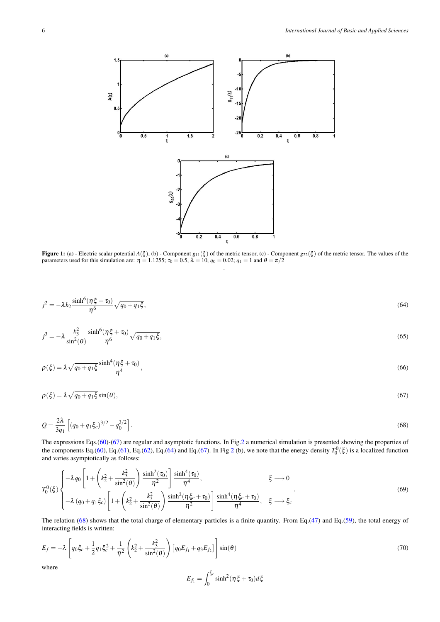<span id="page-5-0"></span>

**Figure 1:** (a) - Electric scalar potential  $A(\xi)$ , (b) - Component  $g_{11}(\xi)$  of the metric tensor, (c) - Component  $g_{22}(\xi)$  of the metric tensor. The values of the parameters used for this simulation are:  $\eta = 1.1255$ ;  $\tau_0 = 0.5$ ,  $\lambda = 10$ ,  $q_0 = 0.02$ ;  $q_1 = 1$  and  $\theta = \pi/2$ .

<span id="page-5-2"></span>
$$
j^2 = -\lambda k_2 \frac{\sinh^6(\eta \xi + \tau_0)}{\eta^6} \sqrt{q_0 + q_1 \xi},\tag{64}
$$

$$
j^3 = -\lambda \frac{k_3^2}{\sin^2(\theta)} \frac{\sinh^6(\eta \xi + \tau_0)}{\eta^6} \sqrt{q_0 + q_1 \xi},\tag{65}
$$

$$
\rho(\xi) = \lambda \sqrt{q_0 + q_1 \xi} \frac{\sinh^4(\eta \xi + \tau_0)}{\eta^4},\tag{66}
$$

<span id="page-5-3"></span><span id="page-5-1"></span>
$$
\rho(\xi) = \lambda \sqrt{q_0 + q_1 \xi} \sin(\theta),\tag{67}
$$

$$
Q = \frac{2\lambda}{3q_1} \left[ (q_0 + q_1 \xi_c)^{3/2} - q_0^{3/2} \right].
$$
 (68)

The expressions Eqs.[\(60\)](#page-4-6)-[\(67\)](#page-5-1) are regular and asymptotic functions. In Fig[.2](#page-6-4) a numerical simulation is presented showing the properties of the components Eq.[\(60\)](#page-4-6), Eq.[\(61\)](#page-4-7), Eq.[\(62\)](#page-4-8), Eq.[\(64\)](#page-5-2) and Eq.[\(67\)](#page-5-1). In Fig [2](#page-6-4) (b), we note that the energy density  $T_0^0(\xi)$  is a localized function and varies asymptotically as follows:

$$
T_0^0(\xi) \begin{cases} -\lambda q_0 \left[ 1 + \left( k_2^2 + \frac{k_3^2}{\sin^2(\theta)} \right) \frac{\sinh^2(\tau_0)}{\eta^2} \right] \frac{\sinh^4(\tau_0)}{\eta^4}, & \xi \to 0 \\ -\lambda (q_0 + q_1 \xi_c) \left[ 1 + \left( k_2^2 + \frac{k_3^2}{\sin^2(\theta)} \right) \frac{\sinh^2(\eta \xi_c + \tau_0)}{\eta^2} \right] \frac{\sinh^4(\eta \xi_c + \tau_0)}{\eta^4}, & \xi \to \xi_c \end{cases}
$$
(69)

The relation  $(68)$  shows that the total charge of elementary particles is a finite quantity. From Eq.[\(47\)](#page-3-13) and Eq.[\(59\)](#page-4-1), the total energy of interacting fields is written:

<span id="page-5-4"></span>
$$
E_f = -\lambda \left[ q_0 \xi_c + \frac{1}{2} q_1 \xi_c^2 + \frac{1}{\eta^2} \left( k_2^2 + \frac{k_3^2}{\sin^2(\theta)} \right) \left[ q_0 E_{f_1} + q_3 E_{f_2} \right] \right] \sin(\theta) \tag{70}
$$

where

$$
E_{f_1} = \int_0^{\xi_c} \sinh^2(\eta \xi + \tau_0) d\xi
$$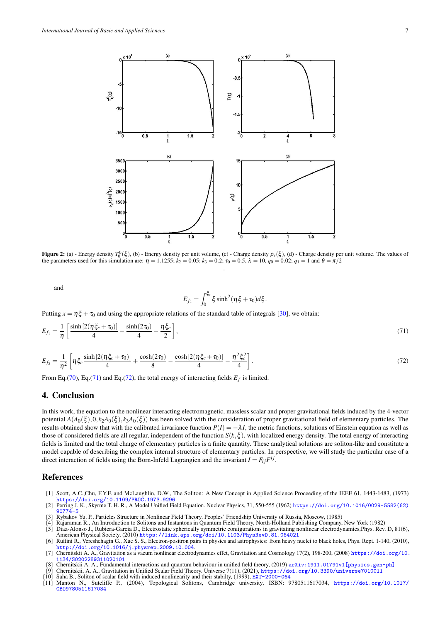<span id="page-6-4"></span>

Figure 2: (a) - Energy density  $T_0^0(\xi)$ , (b) - Energy density per unit volume, (c) - Charge density  $\rho_e(\xi)$ , (d) - Charge density per unit volume. The values of the parameters used for this simulation are:  $\eta = 1.1255$ ;  $k_2 = 0.05$ ;  $k_3 = 0.2$ ;  $\tau_0 = 0.5$ ,  $\lambda = 10$ ,  $q_0 = 0.02$ ;  $q_1 = 1$  and  $\theta = \pi/2$ .

and

<span id="page-6-5"></span>
$$
E_{f_2} = \int_0^{\xi_c} \xi \sinh^2(\eta \xi + \tau_0) d\xi.
$$

Putting  $x = \eta \xi + \tau_0$  and using the appropriate relations of the standard table of integrals [\[30\]](#page-7-14), we obtain:

$$
E_{f_1} = \frac{1}{\eta} \left[ \frac{\sinh[2(\eta \xi_c + \tau_0)]}{4} - \frac{\sinh(2\tau_0)}{4} - \frac{\eta \xi_c}{2} \right],\tag{71}
$$

<span id="page-6-6"></span>
$$
E_{f_2} = \frac{1}{\eta^2} \left[ \eta \xi_c \frac{\sinh\left[2(\eta \xi_c + \tau_0)\right]}{4} + \frac{\cosh(2\tau_0)}{8} - \frac{\cosh\left[2(\eta \xi_c + \tau_0)\right]}{4} - \frac{\eta^2 \xi_c^2}{4} \right].
$$
\n(72)

From Eq.[\(70\)](#page-5-4), Eq.[\(71\)](#page-6-5) and Eq.[\(72\)](#page-6-6), the total energy of interacting fields  $E_f$  is limited.

#### <span id="page-6-3"></span>4. Conclusion

In this work, the equation to the nonlinear interacting electromagnetic, massless scalar and proper gravitational fields induced by the 4-vector potential  $A(A_0(\xi), 0, k_2A_0(\xi), k_3A_0(\xi))$  has been solved with the consideration of proper gravitational field of elementary particles. The results obtained show that with the calibrated invariance function  $P(I) = -\lambda I$ , the metric functions, solutions of Einstein equation as well as those of considered fields are all regular, independent of the function  $S(k, \xi)$ , with localized energy density. The total energy of interacting fields is limited and the total charge of elementary particles is a finite quantity. These analytical solutions are soliton-like and constitute a model capable of describing the complex internal structure of elementary particles. In perspective, we will study the particular case of a direct interaction of fields using the Born-Infeld Lagrangien and the invariant  $I = F_{ij}F^{ij}$ .

#### References

- <span id="page-6-0"></span>[1] Scott, A.C.,Chu, F.Y.F. and McLaughlin, D.W., The Soliton: A New Concept in Applied Science Proceeding of the IEEE 61, 1443-1483, (1973) <https://doi.org/10.1109/PROC.1973.9296>
- <span id="page-6-1"></span>[2] Perring J. K., Skyrme T. H. R., A Model Unified Field Equation. Nuclear Physics, 31, 550-555 (1962) [https://doi.org/10.1016/0029-5582\(62\)](https://doi.org/10.1016/0029-5582(62)90774-5) [90774-5](https://doi.org/10.1016/0029-5582(62)90774-5)
- <span id="page-6-2"></span>[3] Rybakov Yu. P., Particles Structure in Nonlinear Field Theory. Peoples' Friendship University of Russia, Moscow, (1985)
- [4] Rajaraman R., An Introduction to Solitons and Instantons in Quantum Field Theory, North-Holland Publishing Company, New York (1982) [5] Diaz-Alonso J., Rubiera-Garcia D., Electrostatic spherically symmetric configurations in gravitating nonlinear electrodynamics,Phys. Rev. D, 81(6),
- American Physical Society, (2010) <https://link.aps.org/doi/10.1103/PhysRevD.81.064021>
- [6] Ruffini R., Vereshchagin G., Xue S. S., Electron-positron pairs in physics and astrophysics: from heavy nuclei to black holes, Phys. Rept. 1-140, (2010), <http://doi.org/10.1016/j.physrep.2009.10.004>.
- [7] Chernitskii A. A., Gravitation as a vacum nonlinear electrodynamics effet, Gravitation and Cosmology 17(2), 198-200, (2008) [https://doi.org/10.](https://doi.org/10.1134/S0202289311020101) [1134/S0202289311020101](https://doi.org/10.1134/S0202289311020101)
- [8] Chernitskii A. A., Fundamental interactions and quantum behaviour in unified field theory, (2019) arXiv:1911.01791v1 [physics.gen-ph]
- [9] Chernitskii, A. A., Gravitation in Unified Scalar Field Theory. Universe 7(11), (2021), [https://doi.org/10.3390/universe7010011](https:// doi.org/10.3390/universe7010011)
- [10] Saha B., Soliton of scalar field with induced nonlinearity and their stabilty, (1999), <EXT-2000-064>
- [11] Manton N., Sutcliffe P., (2004), Topological Solitons, Cambridge university, ISBN: 9780511617034, [https://doi.org/10.1017/](https://doi.org/10.1017/CBO9780511617034) [CBO9780511617034](https://doi.org/10.1017/CBO9780511617034)